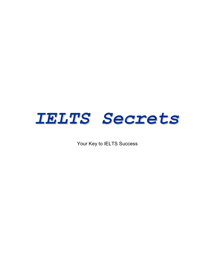

Your Key to IELTS Success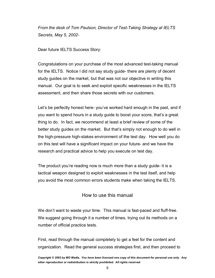*From the desk of Tom Paulson, Director of Test-Taking Strategy at IELTS Secrets, May 5, 2002-* 

Dear future IELTS Success Story:

Congratulations on your purchase of the most advanced test-taking manual for the IELTS. Notice I did not say study guide- there are plenty of decent study guides on the market, but that was not our objective in writing this manual. Our goal is to seek and exploit specific weaknesses in the IELTS assessment, and then share those secrets with our customers.

Let's be perfectly honest here- you've worked hard enough in the past, and if you want to spend hours in a study guide to boost your score, that's a great thing to do. In fact, we recommend at least a brief review of some of the better study guides on the market. But that's simply not enough to do well in the high-pressure high-stakes environment of the test day. How well you do on this test will have a significant impact on your future- and we have the research and practical advice to help you execute on test day.

The product you're reading now is much more than a study guide- it is a tactical weapon designed to exploit weaknesses in the test itself, and help you avoid the most common errors students make when taking the IELTS.

## How to use this manual

We don't want to waste your time. This manual is fast-paced and fluff-free. We suggest going through it a number of times, trying out its methods on a number of official practice tests.

First, read through the manual completely to get a feel for the content and organization. Read the general success strategies first, and then proceed to

ii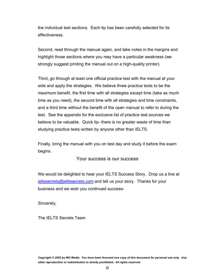the individual test sections. Each tip has been carefully selected for its effectiveness.

Second, read through the manual again, and take notes in the margins and highlight those sections where you may have a particular weakness (we strongly suggest printing the manual out on a high-quality printer).

Third, go through at least one official practice test with the manual at your side and apply the strategies. We believe three practice tests to be the maximum benefit, the first time with all strategies except time (take as much time as you need), the second time with all strategies and time constraints, and a third time without the benefit of the open manual to refer to during the test. See the appendix for the exclusive list of practice test sources we believe to be valuable. Quick tip- there is no greater waste of time than studying practice tests written by anyone other than IELTS.

Finally, bring the manual with you on test day and study it before the exam begins.

#### Your success is our success

We would be delighted to hear your IELTS Success Story. Drop us a line at ieltssecrets@ieltssecrets.com and tell us your story. Thanks for your business and we wish you continued success-

Sincerely,

The IELTS Secrets Team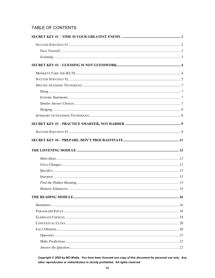### TABLE OF CONTENTS

Copyright © 2002 by MO Media. You have been licensed one copy of this document for personal use only. Any other reproduction or redistribution is strictly prohibited. All rights reserved.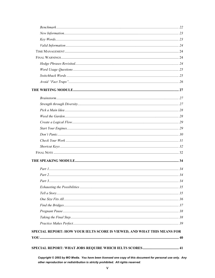| Part 3                                                                  | 34 |
|-------------------------------------------------------------------------|----|
|                                                                         |    |
|                                                                         |    |
|                                                                         |    |
|                                                                         |    |
|                                                                         |    |
|                                                                         |    |
|                                                                         |    |
| SPECIAL REPORT: HOW YOUR IELTS SCORE IS VIEWED, AND WHAT THIS MEANS FOR |    |
|                                                                         |    |

other reproduction or redistribution is strictly prohibited. All rights reserved.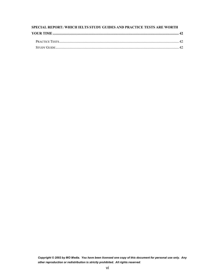#### **SPECIAL REPORT: WHICH IELTS STUDY GUIDES AND PRACTICE TESTS ARE WORTH**

*Copyright © 2002 by MO Media. You have been licensed one copy of this document for personal use only. Any other reproduction or redistribution is strictly prohibited. All rights reserved*.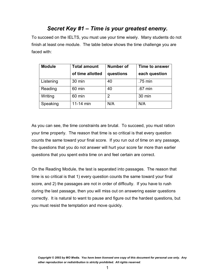## *Secret Key #1 – Time is your greatest enemy.*

To succeed on the IELTS, you must use your time wisely. Many students do not finish at least one module. The table below shows the time challenge you are faced with:

| <b>Module</b> | <b>Total amount</b> | <b>Number of</b> | Time to answer |  |
|---------------|---------------------|------------------|----------------|--|
|               | of time allotted    | questions        | each question  |  |
| Listening     | 30 min              | 40               | .75 min        |  |
| Reading       | 60 min              | 40               | .67 min        |  |
| Writing       | 60 min              | 2                | 30 min         |  |
| Speaking      | 11-14 min           | N/A              | N/A            |  |

As you can see, the time constraints are brutal. To succeed, you must ration your time properly. The reason that time is so critical is that every question counts the same toward your final score. If you run out of time on any passage, the questions that you do not answer will hurt your score far more than earlier questions that you spent extra time on and feel certain are correct.

On the Reading Module, the test is separated into passages. The reason that time is so critical is that 1) every question counts the same toward your final score, and 2) the passages are not in order of difficulty. If you have to rush during the last passage, then you will miss out on answering easier questions correctly. It is natural to want to pause and figure out the hardest questions, but you must resist the temptation and move quickly.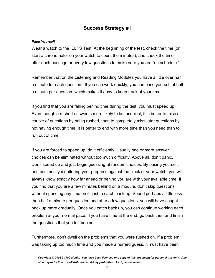### **Success Strategy #1**

#### *Pace Yourself*

Wear a watch to the IELTS Test. At the beginning of the test, check the time (or start a chronometer on your watch to count the minutes), and check the time after each passage or every few questions to make sure you are "on schedule."

Remember that on the Listening and Reading Modules you have a little over half a minute for each question. If you can work quickly, you can pace yourself at half a minute per question, which makes it easy to keep track of your time.

If you find that you are falling behind time during the test, you must speed up. Even though a rushed answer is more likely to be incorrect, it is better to miss a couple of questions by being rushed, than to completely miss later questions by not having enough time. It is better to end with more time than you need than to run out of time.

If you are forced to speed up, do it efficiently. Usually one or more answer choices can be eliminated without too much difficulty. Above all, don't panic. Don't speed up and just begin guessing at random choices. By pacing yourself, and continually monitoring your progress against the clock or your watch, you will always know exactly how far ahead or behind you are with your available time. If you find that you are a few minutes behind on a module, don't skip questions without spending any time on it, just to catch back up. Spend perhaps a little less than half a minute per question and after a few questions, you will have caught back up more gradually. Once you catch back up, you can continue working each problem at your normal pace. If you have time at the end, go back then and finish the questions that you left behind.

Furthermore, don't dwell on the problems that you were rushed on. If a problem was taking up too much time and you made a hurried guess, it must have been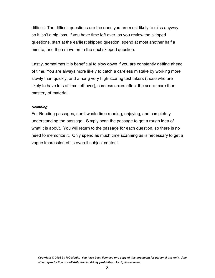difficult. The difficult questions are the ones you are most likely to miss anyway, so it isn't a big loss. If you have time left over, as you review the skipped questions, start at the earliest skipped question, spend at most another half a minute, and then move on to the next skipped question.

Lastly, sometimes it is beneficial to slow down if you are constantly getting ahead of time. You are always more likely to catch a careless mistake by working more slowly than quickly, and among very high-scoring test takers (those who are likely to have lots of time left over), careless errors affect the score more than mastery of material.

#### *Scanning*

For Reading passages, don't waste time reading, enjoying, and completely understanding the passage. Simply scan the passage to get a rough idea of what it is about. You will return to the passage for each question, so there is no need to memorize it. Only spend as much time scanning as is necessary to get a vague impression of its overall subject content.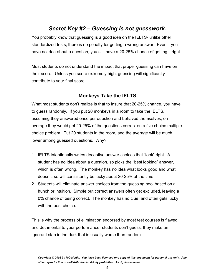## *Secret Key #2 – Guessing is not guesswork.*

You probably know that guessing is a good idea on the IELTS- unlike other standardized tests, there is no penalty for getting a wrong answer. Even if you have no idea about a question, you still have a 20-25% chance of getting it right.

Most students do not understand the impact that proper guessing can have on their score. Unless you score extremely high, guessing will significantly contribute to your final score.

## **Monkeys Take the IELTS**

What most students don't realize is that to insure that 20-25% chance, you have to guess randomly. If you put 20 monkeys in a room to take the IELTS, assuming they answered once per question and behaved themselves, on average they would get 20-25% of the questions correct on a five choice multiple choice problem. Put 20 students in the room, and the average will be much lower among guessed questions. Why?

- 1. IELTS intentionally writes deceptive answer choices that "look" right. A student has no idea about a question, so picks the "best looking" answer, which is often wrong. The monkey has no idea what looks good and what doesn't, so will consistently be lucky about 20-25% of the time.
- 2. Students will eliminate answer choices from the guessing pool based on a hunch or intuition. Simple but correct answers often get excluded, leaving a 0% chance of being correct. The monkey has no clue, and often gets lucky with the best choice.

This is why the process of elimination endorsed by most test courses is flawed and detrimental to your performance- students don't guess, they make an ignorant stab in the dark that is usually worse than random.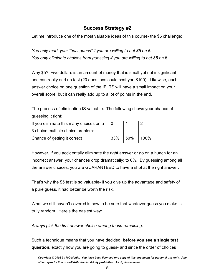## **Success Strategy #2**

Let me introduce one of the most valuable ideas of this course- the \$5 challenge:

*You only mark your "best guess" if you are willing to bet \$5 on it. You only eliminate choices from guessing if you are willing to bet \$5 on it.* 

Why \$5? Five dollars is an amount of money that is small yet not insignificant, and can really add up fast (20 questions could cost you \$100). Likewise, each answer choice on one question of the IELTS will have a small impact on your overall score, but it can really add up to a lot of points in the end.

The process of elimination IS valuable. The following shows your chance of guessing it right:

| If you eliminate this many choices on a |     |     |        |
|-----------------------------------------|-----|-----|--------|
| 3 choice multiple choice problem:       |     |     |        |
| Chance of getting it correct            | 33% | 50% | 100% L |

However, if you accidentally eliminate the right answer or go on a hunch for an incorrect answer, your chances drop dramatically: to 0%. By guessing among all the answer choices, you are GUARANTEED to have a shot at the right answer.

That's why the \$5 test is so valuable- if you give up the advantage and safety of a pure guess, it had better be worth the risk.

What we still haven't covered is how to be sure that whatever guess you make is truly random. Here's the easiest way:

*Always pick the first answer choice among those remaining.* 

Such a technique means that you have decided, **before you see a single test question**, exactly how you are going to guess- and since the order of choices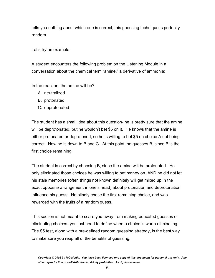tells you nothing about which one is correct, this guessing technique is perfectly random.

Let's try an example-

A student encounters the following problem on the Listening Module in a conversation about the chemical term "amine," a derivative of ammonia:

In the reaction, the amine will be?

- A. neutralized
- B. protonated
- C. deprotonated

The student has a small idea about this question- he is pretty sure that the amine will be deprotonated, but he wouldn't bet \$5 on it. He knows that the amine is either protonated or deprotoned, so he is willing to bet \$5 on choice A not being correct. Now he is down to B and C. At this point, he guesses B, since B is the first choice remaining.

The student is correct by choosing B, since the amine will be protonated. He only eliminated those choices he was willing to bet money on, AND he did not let his stale memories (often things not known definitely will get mixed up in the exact opposite arrangement in one's head) about protonation and deprotonation influence his guess. He blindly chose the first remaining choice, and was rewarded with the fruits of a random guess.

This section is not meant to scare you away from making educated guesses or eliminating choices- you just need to define when a choice is worth eliminating. The \$5 test, along with a pre-defined random guessing strategy, is the best way to make sure you reap all of the benefits of guessing.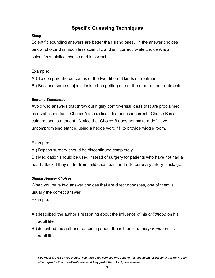## **Specific Guessing Techniques**

#### *Slang*

Scientific sounding answers are better than slang ones. In the answer choices below, choice B is much less scientific and is incorrect, while choice A is a scientific analytical choice and is correct.

#### Example:

- A.) To compare the outcomes of the two different kinds of treatment.
- B.) Because some subjects insisted on getting one or the other of the treatments.

#### *Extreme Statements*

Avoid wild answers that throw out highly controversial ideas that are proclaimed as established fact. Choice A is a radical idea and is incorrect. Choice B is a calm rational statement. Notice that Choice B does not make a definitive, uncompromising stance, using a hedge word "if" to provide wiggle room.

### Example:

A.) Bypass surgery should be discontinued completely.

B.) Medication should be used instead of surgery for patients who have not had a heart attack if they suffer from mild chest pain and mild coronary artery blockage.

#### *Similar Answer Choices*

When you have two answer choices that are direct opposites, one of them is usually the correct answer.

Example:

- A.) described the author's reasoning about the influence of his *childhood* on his adult life.
- B.) described the author's reasoning about the influence of his *parents* on his adult life.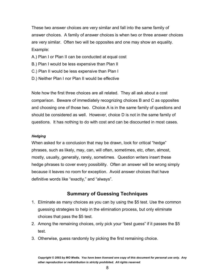These two answer choices are very similar and fall into the same family of answer choices. A family of answer choices is when two or three answer choices are very similar. Often two will be opposites and one may show an equality. Example:

- A.) Plan I or Plan II can be conducted at equal cost
- B.) Plan I would be less expensive than Plan II
- C.) Plan II would be less expensive than Plan I
- D.) Neither Plan I nor Plan II would be effective

Note how the first three choices are all related. They all ask about a cost comparison. Beware of immediately recognizing choices B and C as opposites and choosing one of those two. Choice A is in the same family of questions and should be considered as well. However, choice D is not in the same family of questions. It has nothing to do with cost and can be discounted in most cases.

#### *Hedging*

When asked for a conclusion that may be drawn, look for critical "hedge" phrases, such as likely, may, can, will often, sometimes, etc, often, almost, mostly, usually, generally, rarely, sometimes. Question writers insert these hedge phrases to cover every possibility. Often an answer will be wrong simply because it leaves no room for exception. Avoid answer choices that have definitive words like "exactly," and "always".

### **Summary of Guessing Techniques**

- 1. Eliminate as many choices as you can by using the \$5 test. Use the common guessing strategies to help in the elimination process, but only eliminate choices that pass the \$5 test.
- 2. Among the remaining choices, only pick your "best guess" if it passes the \$5 test.
- 3. Otherwise, guess randomly by picking the first remaining choice.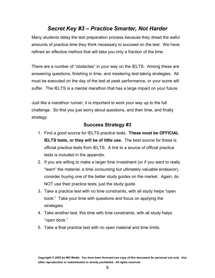## *Secret Key #3 – Practice Smarter, Not Harder*

Many students delay the test preparation process because they dread the awful amounts of practice time they think necessary to succeed on the test. We have refined an effective method that will take you only a fraction of the time.

There are a number of "obstacles" in your way on the IELTS. Among these are answering questions, finishing in time, and mastering test-taking strategies. All must be executed on the day of the test at peak performance, or your score will suffer. The IELTS is a mental marathon that has a large impact on your future.

Just like a marathon runner, it is important to work your way up to the full challenge. So first you just worry about questions, and then time, and finally strategy:

## **Success Strategy #3**

- 1. Find a good source for IELTS practice tests. **These must be OFFICIAL IELTS tests, or they will be of little use.** The best source for these is official practice tests from IELTS. A link to a source of official practice tests is included in the appendix.
- 2. If you are willing to make a larger time investment (or if you want to really "learn" the material, a time consuming but ultimately valuable endeavor), consider buying one of the better study guides on the market. Again, do NOT use their practice tests, just the study guide.
- 3. Take a practice test with no time constraints, with all study helps "open book." Take your time with questions and focus on applying the strategies.
- 4. Take another test, this time with time constraints, with all study helps "open book."
- 5. Take a final practice test with no open material and time limits.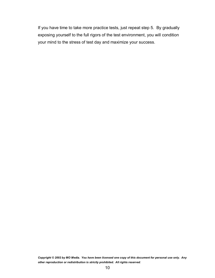If you have time to take more practice tests, just repeat step 5. By gradually exposing yourself to the full rigors of the test environment, you will condition your mind to the stress of test day and maximize your success.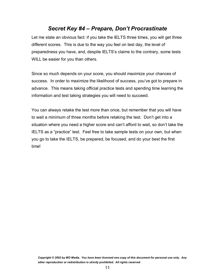## *Secret Key #4 – Prepare, Don't Procrastinate*

Let me state an obvious fact: if you take the IELTS three times, you will get three different scores. This is due to the way you feel on test day, the level of preparedness you have, and, despite IELTS's claims to the contrary, some tests WILL be easier for you than others.

Since so much depends on your score, you should maximize your chances of success. In order to maximize the likelihood of success, you've got to prepare in advance. This means taking official practice tests and spending time learning the information and test taking strategies you will need to succeed.

You can always retake the test more than once, but remember that you will have to wait a minimum of three months before retaking the test. Don't get into a situation where you need a higher score and can't afford to wait, so don't take the IELTS as a "practice" test. Feel free to take sample tests on your own, but when you go to take the IELTS, be prepared, be focused, and do your best the first time!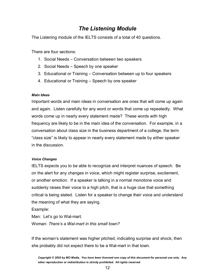## *The Listening Module*

The Listening module of the IELTS consists of a total of 40 questions.

There are four sections:

- 1. Social Needs Conversation between two speakers
- 2. Social Needs Speech by one speaker
- 3. Educational or Training Conversation between up to four speakers
- 4. Educational or Training Speech by one speaker

#### *Main Ideas*

Important words and main ideas in conversation are ones that will come up again and again. Listen carefully for any word or words that come up repeatedly. What words come up in nearly every statement made? These words with high frequency are likely to be in the main idea of the conversation. For example, in a conversation about class size in the business department of a college, the term "class size" is likely to appear in nearly every statement made by either speaker in the discussion.

#### *Voice Changes*

IELTS expects you to be able to recognize and interpret nuances of speech. Be on the alert for any changes in voice, which might register surprise, excitement, or another emotion. If a speaker is talking in a normal monotone voice and suddenly raises their voice to a high pitch, that is a huge clue that something critical is being stated. Listen for a speaker to change their voice and understand the meaning of what they are saying.

Example:

Man: Let's go to Wal-mart.

Woman: *There's a Wal-mart in this small town?* 

If the woman's statement was higher pitched, indicating surprise and shock, then she probably did not expect there to be a Wal-mart in that town.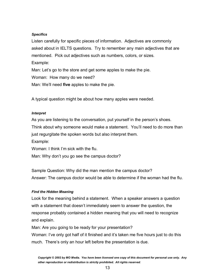#### *Specifics*

Listen carefully for specific pieces of information. Adjectives are commonly asked about in IELTS questions. Try to remember any main adjectives that are mentioned. Pick out adjectives such as numbers, colors, or sizes. Example:

Man: Let's go to the store and get some apples to make the pie. Woman: How many do we need? Man: We'll need **five** apples to make the pie.

A typical question might be about how many apples were needed.

#### *Interpret*

As you are listening to the conversation, put yourself in the person's shoes. Think about why someone would make a statement. You'll need to do more than just regurgitate the spoken words but also interpret them. Example: Woman: I think I'm sick with the flu.

Man: Why don't you go see the campus doctor?

Sample Question: Why did the man mention the campus doctor? Answer: The campus doctor would be able to determine if the woman had the flu.

#### *Find the Hidden Meaning*

Look for the meaning behind a statement. When a speaker answers a question with a statement that doesn't immediately seem to answer the question, the response probably contained a hidden meaning that you will need to recognize and explain.

Man: Are you going to be ready for your presentation? Woman: I've only got half of it finished and it's taken me five hours just to do this

much. There's only an hour left before the presentation is due.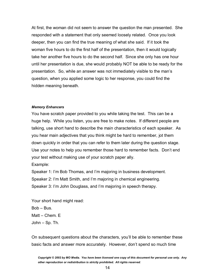At first, the woman did not seem to answer the question the man presented. She responded with a statement that only seemed loosely related. Once you look deeper, then you can find the true meaning of what she said. If it took the woman five hours to do the first half of the presentation, then it would logically take her another five hours to do the second half. Since she only has one hour until her presentation is due, she would probably NOT be able to be ready for the presentation. So, while an answer was not immediately visible to the man's question, when you applied some logic to her response, you could find the hidden meaning beneath.

#### *Memory Enhancers*

You have scratch paper provided to you while taking the test. This can be a huge help. While you listen, you are free to make notes. If different people are talking, use short hand to describe the main characteristics of each speaker. As you hear main adjectives that you think might be hard to remember, jot them down quickly in order that you can refer to them later during the question stage. Use your notes to help you remember those hard to remember facts. Don't end your test without making use of your scratch paper ally. Example:

Speaker 1: I'm Bob Thomas, and I'm majoring in business development. Speaker 2: I'm Matt Smith, and I'm majoring in chemical engineering. Speaker 3: I'm John Douglass, and I'm majoring in speech therapy.

Your short hand might read: Bob – Bus. Matt – Chem. E John – Sp. Th.

On subsequent questions about the characters, you'll be able to remember these basic facts and answer more accurately. However, don't spend so much time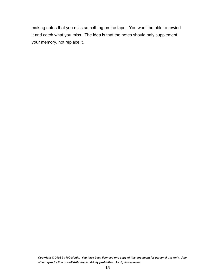making notes that you miss something on the tape. You won't be able to rewind it and catch what you miss. The idea is that the notes should only supplement your memory, not replace it.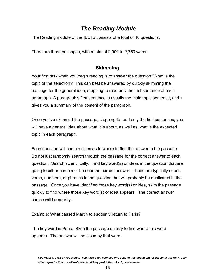## *The Reading Module*

The Reading module of the IELTS consists of a total of 40 questions.

There are three passages, with a total of 2,000 to 2,750 words.

## **Skimming**

Your first task when you begin reading is to answer the question "What is the topic of the selection?" This can best be answered by quickly skimming the passage for the general idea, stopping to read only the first sentence of each paragraph. A paragraph's first sentence is usually the main topic sentence, and it gives you a summary of the content of the paragraph.

Once you've skimmed the passage, stopping to read only the first sentences, you will have a general idea about what it is about, as well as what is the expected topic in each paragraph.

Each question will contain clues as to where to find the answer in the passage. Do not just randomly search through the passage for the correct answer to each question. Search scientifically. Find key word(s) or ideas in the question that are going to either contain or be near the correct answer. These are typically nouns, verbs, numbers, or phrases in the question that will probably be duplicated in the passage. Once you have identified those key word(s) or idea, skim the passage quickly to find where those key word(s) or idea appears. The correct answer choice will be nearby.

Example: What caused Martin to suddenly return to Paris?

The key word is Paris. Skim the passage quickly to find where this word appears. The answer will be close by that word.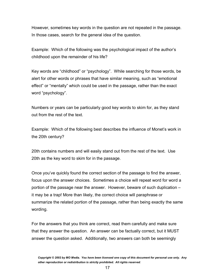However, sometimes key words in the question are not repeated in the passage. In those cases, search for the general idea of the question.

Example: Which of the following was the psychological impact of the author's childhood upon the remainder of his life?

Key words are "childhood" or "psychology". While searching for those words, be alert for other words or phrases that have similar meaning, such as "emotional effect" or "mentally" which could be used in the passage, rather than the exact word "psychology".

Numbers or years can be particularly good key words to skim for, as they stand out from the rest of the text.

Example: Which of the following best describes the influence of Monet's work in the 20th century?

20th contains numbers and will easily stand out from the rest of the text. Use 20th as the key word to skim for in the passage.

Once you've quickly found the correct section of the passage to find the answer, focus upon the answer choices. Sometimes a choice will repeat word for word a portion of the passage near the answer. However, beware of such duplication – it may be a trap! More than likely, the correct choice will paraphrase or summarize the related portion of the passage, rather than being exactly the same wording.

For the answers that you think are correct, read them carefully and make sure that they answer the question. An answer can be factually correct, but it MUST answer the question asked. Additionally, two answers can both be seemingly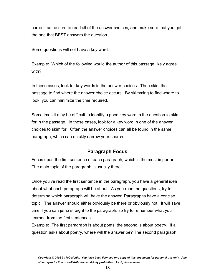correct, so be sure to read all of the answer choices, and make sure that you get the one that BEST answers the question.

Some questions will not have a key word.

Example: Which of the following would the author of this passage likely agree with?

In these cases, look for key words in the answer choices. Then skim the passage to find where the answer choice occurs. By skimming to find where to look, you can minimize the time required.

Sometimes it may be difficult to identify a good key word in the question to skim for in the passage. In those cases, look for a key word in one of the answer choices to skim for. Often the answer choices can all be found in the same paragraph, which can quickly narrow your search.

## **Paragraph Focus**

Focus upon the first sentence of each paragraph, which is the most important. The main topic of the paragraph is usually there.

Once you've read the first sentence in the paragraph, you have a general idea about what each paragraph will be about. As you read the questions, try to determine which paragraph will have the answer. Paragraphs have a concise topic. The answer should either obviously be there or obviously not. It will save time if you can jump straight to the paragraph, so try to remember what you learned from the first sentences.

Example: The first paragraph is about poets; the second is about poetry. If a question asks about poetry, where will the answer be? The second paragraph.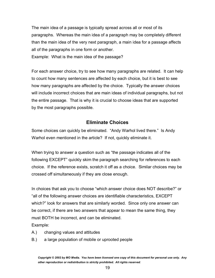The main idea of a passage is typically spread across all or most of its paragraphs. Whereas the main idea of a paragraph may be completely different than the main idea of the very next paragraph, a main idea for a passage affects all of the paragraphs in one form or another.

Example: What is the main idea of the passage?

For each answer choice, try to see how many paragraphs are related. It can help to count how many sentences are affected by each choice, but it is best to see how many paragraphs are affected by the choice. Typically the answer choices will include incorrect choices that are main ideas of individual paragraphs, but not the entire passage. That is why it is crucial to choose ideas that are supported by the most paragraphs possible.

## **Eliminate Choices**

Some choices can quickly be eliminated. "Andy Warhol lived there." Is Andy Warhol even mentioned in the article? If not, quickly eliminate it.

When trying to answer a question such as "the passage indicates all of the following EXCEPT" quickly skim the paragraph searching for references to each choice. If the reference exists, scratch it off as a choice. Similar choices may be crossed off simultaneously if they are close enough.

In choices that ask you to choose "which answer choice does NOT describe?" or "all of the following answer choices are identifiable characteristics, EXCEPT which?" look for answers that are similarly worded. Since only one answer can be correct, if there are two answers that appear to mean the same thing, they must BOTH be incorrect, and can be eliminated.

Example:

- A.) changing values and attitudes
- B.) a large population of mobile or uprooted people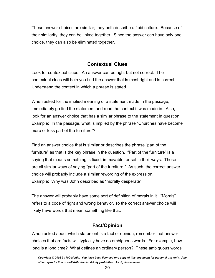These answer choices are similar; they both describe a fluid culture. Because of their similarity, they can be linked together. Since the answer can have only one choice, they can also be eliminated together.

### **Contextual Clues**

Look for contextual clues. An answer can be right but not correct. The contextual clues will help you find the answer that is most right and is correct. Understand the context in which a phrase is stated.

When asked for the implied meaning of a statement made in the passage, immediately go find the statement and read the context it was made in. Also, look for an answer choice that has a similar phrase to the statement in question. Example: In the passage, what is implied by the phrase "Churches have become more or less part of the furniture"?

Find an answer choice that is similar or describes the phrase "part of the furniture" as that is the key phrase in the question. "Part of the furniture" is a saying that means something is fixed, immovable, or set in their ways. Those are all similar ways of saying "part of the furniture." As such, the correct answer choice will probably include a similar rewording of the expression. Example: Why was John described as "morally desperate".

The answer will probably have some sort of definition of morals in it. "Morals" refers to a code of right and wrong behavior, so the correct answer choice will likely have words that mean something like that.

### **Fact/Opinion**

When asked about which statement is a fact or opinion, remember that answer choices that are facts will typically have no ambiguous words. For example, how long is a long time? What defines an ordinary person? These ambiguous words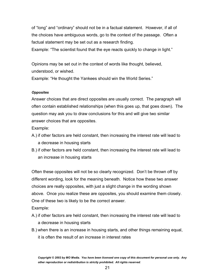of "long" and "ordinary" should not be in a factual statement. However, if all of the choices have ambiguous words, go to the context of the passage. Often a factual statement may be set out as a research finding.

Example: "The scientist found that the eye reacts quickly to change in light."

Opinions may be set out in the context of words like thought, believed, understood, or wished.

Example: "He thought the Yankees should win the World Series."

#### *Opposites*

Answer choices that are direct opposites are usually correct. The paragraph will often contain established relationships (when this goes up, that goes down). The question may ask you to draw conclusions for this and will give two similar answer choices that are opposites.

Example:

- A.) if other factors are held constant, then increasing the interest rate will lead to a decrease in housing starts
- B.) if other factors are held constant, then increasing the interest rate will lead to an increase in housing starts

Often these opposites will not be so clearly recognized. Don't be thrown off by different wording, look for the meaning beneath. Notice how these two answer choices are really opposites, with just a slight change in the wording shown above. Once you realize these are opposites, you should examine them closely. One of these two is likely to be the correct answer.

Example:

- A.) if other factors are held constant, then increasing the interest rate will lead to a decrease in housing starts
- B.) when there is an increase in housing starts, and other things remaining equal, it is often the result of an increase in interest rates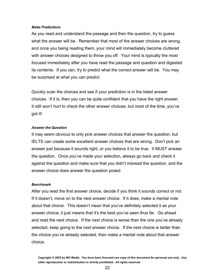#### *Make Predictions*

As you read and understand the passage and then the question, try to guess what the answer will be. Remember that most of the answer choices are wrong, and once you being reading them, your mind will immediately become cluttered with answer choices designed to throw you off. Your mind is typically the most focused immediately after you have read the passage and question and digested its contents. If you can, try to predict what the correct answer will be. You may be surprised at what you can predict.

Quickly scan the choices and see if your prediction is in the listed answer choices. If it is, then you can be quite confident that you have the right answer. It still won't hurt to check the other answer choices, but most of the time, you've got it!

#### *Answer the Question*

It may seem obvious to only pick answer choices that answer the question, but IELTS can create some excellent answer choices that are wrong. Don't pick an answer just because it sounds right, or you believe it to be true. It MUST answer the question. Once you've made your selection, always go back and check it against the question and make sure that you didn't misread the question, and the answer choice does answer the question posed.

#### *Benchmark*

After you read the first answer choice, decide if you think it sounds correct or not. If it doesn't, move on to the next answer choice. If it does, make a mental note about that choice. This doesn't mean that you've definitely selected it as your answer choice, it just means that it's the best you've seen thus far. Go ahead and read the next choice. If the next choice is worse than the one you've already selected, keep going to the next answer choice. If the next choice is better than the choice you've already selected, then make a mental note about that answer choice.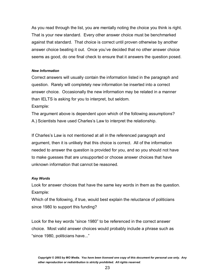As you read through the list, you are mentally noting the choice you think is right. That is your new standard. Every other answer choice must be benchmarked against that standard. That choice is correct until proven otherwise by another answer choice beating it out. Once you've decided that no other answer choice seems as good, do one final check to ensure that it answers the question posed.

#### *New Information*

Correct answers will usually contain the information listed in the paragraph and question. Rarely will completely new information be inserted into a correct answer choice. Occasionally the new information may be related in a manner than IELTS is asking for you to interpret, but seldom. Example:

The argument above is dependent upon which of the following assumptions? A.) Scientists have used Charles's Law to interpret the relationship.

If Charles's Law is not mentioned at all in the referenced paragraph and argument, then it is unlikely that this choice is correct. All of the information needed to answer the question is provided for you, and so you should not have to make guesses that are unsupported or choose answer choices that have unknown information that cannot be reasoned.

#### *Key Words*

Look for answer choices that have the same key words in them as the question. Example:

Which of the following, if true, would best explain the reluctance of politicians since 1980 to support this funding?

Look for the key words "since 1980" to be referenced in the correct answer choice. Most valid answer choices would probably include a phrase such as "since 1980, politicians have..."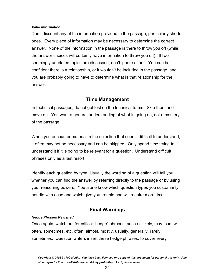#### *Valid Information*

Don't discount any of the information provided in the passage, particularly shorter ones. Every piece of information may be necessary to determine the correct answer. None of the information in the passage is there to throw you off (while the answer choices will certainly have information to throw you off). If two seemingly unrelated topics are discussed, don't ignore either. You can be confident there is a relationship, or it wouldn't be included in the passage, and you are probably going to have to determine what is that relationship for the answer.

### **Time Management**

In technical passages, do not get lost on the technical terms. Skip them and move on. You want a general understanding of what is going on, not a mastery of the passage.

When you encounter material in the selection that seems difficult to understand, it often may not be necessary and can be skipped. Only spend time trying to understand it if it is going to be relevant for a question. Understand difficult phrases only as a last resort.

Identify each question by type. Usually the wording of a question will tell you whether you can find the answer by referring directly to the passage or by using your reasoning powers. You alone know which question types you customarily handle with ease and which give you trouble and will require more time.

### **Final Warnings**

#### *Hedge Phrases Revisited*

Once again, watch out for critical "hedge" phrases, such as likely, may, can, will often, sometimes, etc, often, almost, mostly, usually, generally, rarely, sometimes. Question writers insert these hedge phrases, to cover every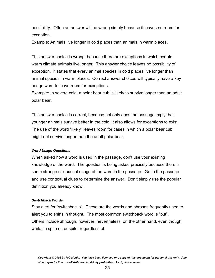possibility. Often an answer will be wrong simply because it leaves no room for exception.

Example: Animals live longer in cold places than animals in warm places.

This answer choice is wrong, because there are exceptions in which certain warm climate animals live longer. This answer choice leaves no possibility of exception. It states that every animal species in cold places live longer than animal species in warm places. Correct answer choices will typically have a key hedge word to leave room for exceptions.

Example: In severe cold, a polar bear cub is likely to survive longer than an adult polar bear.

This answer choice is correct, because not only does the passage imply that younger animals survive better in the cold, it also allows for exceptions to exist. The use of the word "likely" leaves room for cases in which a polar bear cub might not survive longer than the adult polar bear.

#### *Word Usage Questions*

When asked how a word is used in the passage, don't use your existing knowledge of the word. The question is being asked precisely because there is some strange or unusual usage of the word in the passage. Go to the passage and use contextual clues to determine the answer. Don't simply use the popular definition you already know.

#### *Switchback Words*

Stay alert for "switchbacks". These are the words and phrases frequently used to alert you to shifts in thought. The most common switchback word is "but". Others include although, however, nevertheless, on the other hand, even though, while, in spite of, despite, regardless of.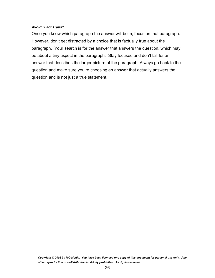#### *Avoid "Fact Traps"*

Once you know which paragraph the answer will be in, focus on that paragraph. However, don't get distracted by a choice that is factually true about the paragraph. Your search is for the answer that answers the question, which may be about a tiny aspect in the paragraph. Stay focused and don't fall for an answer that describes the larger picture of the paragraph. Always go back to the question and make sure you're choosing an answer that actually answers the question and is not just a true statement.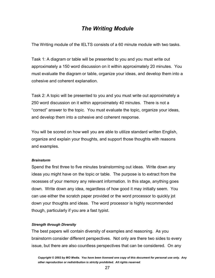## *The Writing Module*

The Writing module of the IELTS consists of a 60 minute module with two tasks.

Task 1: A diagram or table will be presented to you and you must write out approximately a 150 word discussion on it within approximately 20 minutes. You must evaluate the diagram or table, organize your ideas, and develop them into a cohesive and coherent explanation.

Task 2: A topic will be presented to you and you must write out approximately a 250 word discussion on it within approximately 40 minutes. There is not a "correct" answer to the topic. You must evaluate the topic, organize your ideas, and develop them into a cohesive and coherent response.

You will be scored on how well you are able to utilize standard written English, organize and explain your thoughts, and support those thoughts with reasons and examples.

#### *Brainstorm*

Spend the first three to five minutes brainstorming out ideas. Write down any ideas you might have on the topic or table. The purpose is to extract from the recesses of your memory any relevant information. In this stage, anything goes down. Write down any idea, regardless of how good it may initially seem. You can use either the scratch paper provided or the word processor to quickly jot down your thoughts and ideas. The word processor is highly recommended though, particularly if you are a fast typist.

#### *Strength through Diversity*

The best papers will contain diversity of examples and reasoning. As you brainstorm consider different perspectives. Not only are there two sides to every issue, but there are also countless perspectives that can be considered. On any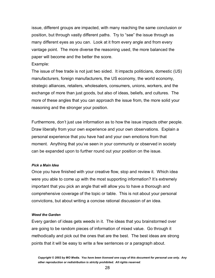issue, different groups are impacted, with many reaching the same conclusion or position, but through vastly different paths. Try to "see" the issue through as many different eyes as you can. Look at it from every angle and from every vantage point. The more diverse the reasoning used, the more balanced the paper will become and the better the score.

#### Example:

The issue of free trade is not just two sided. It impacts politicians, domestic (US) manufacturers, foreign manufacturers, the US economy, the world economy, strategic alliances, retailers, wholesalers, consumers, unions, workers, and the exchange of more than just goods, but also of ideas, beliefs, and cultures. The more of these angles that you can approach the issue from, the more solid your reasoning and the stronger your position.

Furthermore, don't just use information as to how the issue impacts other people. Draw liberally from your own experience and your own observations. Explain a personal experience that you have had and your own emotions from that moment. Anything that you've seen in your community or observed in society can be expanded upon to further round out your position on the issue.

#### *Pick a Main Idea*

Once you have finished with your creative flow, stop and review it. Which idea were you able to come up with the most supporting information? It's extremely important that you pick an angle that will allow you to have a thorough and comprehensive coverage of the topic or table. This is not about your personal convictions, but about writing a concise rational discussion of an idea.

#### *Weed the Garden*

Every garden of ideas gets weeds in it. The ideas that you brainstormed over are going to be random pieces of information of mixed value. Go through it methodically and pick out the ones that are the best. The best ideas are strong points that it will be easy to write a few sentences or a paragraph about.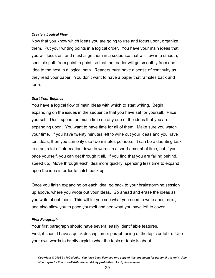#### *Create a Logical Flow*

Now that you know which ideas you are going to use and focus upon, organize them. Put your writing points in a logical order. You have your main ideas that you will focus on, and must align them in a sequence that will flow in a smooth, sensible path from point to point, so that the reader will go smoothly from one idea to the next in a logical path. Readers must have a sense of continuity as they read your paper. You don't want to have a paper that rambles back and forth.

#### *Start Your Engines*

You have a logical flow of main ideas with which to start writing. Begin expanding on the issues in the sequence that you have set for yourself. Pace yourself. Don't spend too much time on any one of the ideas that you are expanding upon. You want to have time for all of them. Make sure you watch your time. If you have twenty minutes left to write out your ideas and you have ten ideas, then you can only use two minutes per idea. It can be a daunting task to cram a lot of information down in words in a short amount of time, but if you pace yourself, you can get through it all. If you find that you are falling behind, speed up. Move through each idea more quickly, spending less time to expand upon the idea in order to catch back up.

Once you finish expanding on each idea, go back to your brainstorming session up above, where you wrote out your ideas. Go ahead and erase the ideas as you write about them. This will let you see what you need to write about next, and also allow you to pace yourself and see what you have left to cover.

#### *First Paragraph*

Your first paragraph should have several easily identifiable features. First, it should have a quick description or paraphrasing of the topic or table. Use your own words to briefly explain what the topic or table is about.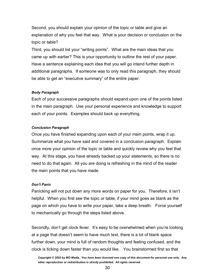Second, you should explain your opinion of the topic or table and give an explanation of why you feel that way. What is your decision or conclusion on the topic or table?

Third, you should list your "writing points". What are the main ideas that you came up with earlier? This is your opportunity to outline the rest of your paper. Have a sentence explaining each idea that you will go intend further depth in additional paragraphs. If someone was to only read this paragraph, they should be able to get an "executive summary" of the entire paper.

#### *Body Paragraph*

Each of your successive paragraphs should expand upon one of the points listed in the main paragraph. Use your personal experience and knowledge to support each of your points. Examples should back up everything.

#### *Conclusion Paragraph*

Once you have finished expanding upon each of your main points, wrap it up. Summarize what you have said and covered in a conclusion paragraph. Explain once more your opinion of the topic or table and quickly review why you feel that way. At this stage, you have already backed up your statements, so there is no need to do that again. All you are doing is refreshing in the mind of the reader the main points that you have made.

#### *Don't Panic*

Panicking will not put down any more words on paper for you. Therefore, it isn't helpful. When you first see the topic or table, if your mind goes as blank as the page on which you have to write your paper, take a deep breath. Force yourself to mechanically go through the steps listed above.

Secondly, don't get clock fever. It's easy to be overwhelmed when you're looking at a page that doesn't seem to have much text, there is a lot of blank space further down, your mind is full of random thoughts and feeling confused, and the clock is ticking down faster than you would like. You brainstormed first so that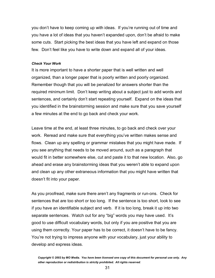you don't have to keep coming up with ideas. If you're running out of time and you have a lot of ideas that you haven't expanded upon, don't be afraid to make some cuts. Start picking the best ideas that you have left and expand on those few. Don't feel like you have to write down and expand all of your ideas.

#### *Check Your Work*

It is more important to have a shorter paper that is well written and well organized, than a longer paper that is poorly written and poorly organized. Remember though that you will be penalized for answers shorter than the required minimum limit. Don't keep writing about a subject just to add words and sentences, and certainly don't start repeating yourself. Expand on the ideas that you identified in the brainstorming session and make sure that you save yourself a few minutes at the end to go back and check your work.

Leave time at the end, at least three minutes, to go back and check over your work. Reread and make sure that everything you've written makes sense and flows. Clean up any spelling or grammar mistakes that you might have made. If you see anything that needs to be moved around, such as a paragraph that would fit in better somewhere else, cut and paste it to that new location. Also, go ahead and erase any brainstorming ideas that you weren't able to expand upon and clean up any other extraneous information that you might have written that doesn't fit into your paper.

As you proofread, make sure there aren't any fragments or run-ons. Check for sentences that are too short or too long. If the sentence is too short, look to see if you have an identifiable subject and verb. If it is too long, break it up into two separate sentences. Watch out for any "big" words you may have used. It's good to use difficult vocabulary words, but only if you are positive that you are using them correctly. Your paper has to be correct, it doesn't have to be fancy. You're not trying to impress anyone with your vocabulary, just your ability to develop and express ideas.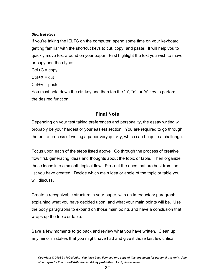#### *Shortcut Keys*

If you're taking the IELTS on the computer, spend some time on your keyboard getting familiar with the shortcut keys to cut, copy, and paste. It will help you to quickly move text around on your paper. First highlight the text you wish to move or copy and then type:

 $Ctrl+C = copy$ 

 $Ctrl+X = cut$ 

 $Ctrl+V =$  paste

You must hold down the ctrl key and then tap the "c", "x", or "v" key to perform the desired function.

### **Final Note**

Depending on your test taking preferences and personality, the essay writing will probably be your hardest or your easiest section. You are required to go through the entire process of writing a paper very quickly, which can be quite a challenge.

Focus upon each of the steps listed above. Go through the process of creative flow first, generating ideas and thoughts about the topic or table. Then organize those ideas into a smooth logical flow. Pick out the ones that are best from the list you have created. Decide which main idea or angle of the topic or table you will discuss.

Create a recognizable structure in your paper, with an introductory paragraph explaining what you have decided upon, and what your main points will be. Use the body paragraphs to expand on those main points and have a conclusion that wraps up the topic or table.

Save a few moments to go back and review what you have written. Clean up any minor mistakes that you might have had and give it those last few critical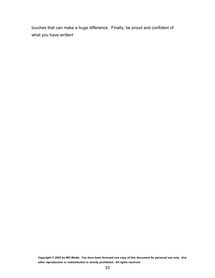touches that can make a huge difference. Finally, be proud and confident of what you have written!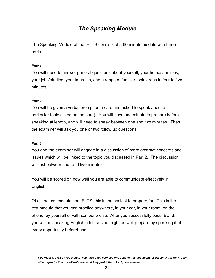## *The Speaking Module*

The Speaking Module of the IELTS consists of a 60 minute module with three parts.

#### *Part 1*

You will need to answer general questions about yourself, your homes/families, your jobs/studies, your interests, and a range of familiar topic areas in four to five minutes.

#### *Part 2*

You will be given a verbal prompt on a card and asked to speak about a particular topic (listed on the card). You will have one minute to prepare before speaking at length, and will need to speak between one and two minutes. Then the examiner will ask you one or two follow up questions.

#### *Part 3*

You and the examiner will engage in a discussion of more abstract concepts and issues which will be linked to the topic you discussed in Part 2. The discussion will last between four and five minutes.

You will be scored on how well you are able to communicate effectively in English.

Of all the test modules on IELTS, this is the easiest to prepare for. This is the test module that you can practice anywhere, in your car, in your room, on the phone, by yourself or with someone else. After you successfully pass IELTS, you will be speaking English a lot, so you might as well prepare by speaking it at every opportunity beforehand.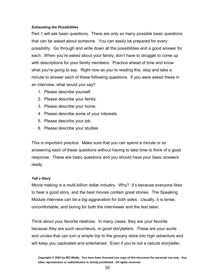#### *Exhausting the Possibilities*

Part 1 will ask basic questions. There are only so many possible basic questions that can be asked about someone. You can easily be prepared for every possibility. Go through and write down all the possibilities and a good answer for each. When you're asked about your family, don't have to struggle to come up with descriptions for your family members. Practice ahead of time and know what you're going to say. Right now as you're reading this, stop and take a minute to answer each of these following questions. If you were asked these in an interview, what would you say?

- 1. Please describe yourself.
- 2. Please describe your family.
- 3. Please describe your home.
- 4. Please describe some of your interests.
- 5. Please describe your job.
- 6. Please describe your studies

This is important practice. Make sure that you can spend a minute or so answering each of these questions without having to take time to think of a good response. These are basic questions and you should have your basic answers ready.

#### *Tell a Story*

Movie making is a multi-billion dollar industry. Why? It's because everyone likes to hear a good story, and the best movies contain great stories. The Speaking Module interview can be a big aggravation for both sides. Usually, it is tense, uncomfortable, and boring for both the interviewer and the test taker.

Think about your favorite relatives. In many cases, they are your favorite because they are such raconteurs, or good storytellers. These are your aunts and uncles that can turn a simple trip to the grocery store into high adventure and will keep you captivated and entertained. Even if you're not a natural storyteller,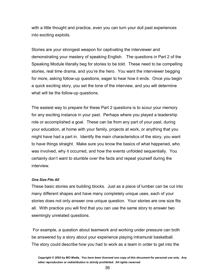with a little thought and practice, even you can turn your dull past experiences into exciting exploits.

Stories are your strongest weapon for captivating the interviewer and demonstrating your mastery of speaking English. The questions in Part 2 of the Speaking Module literally beg for stories to be told. These need to be compelling stories, real time drama, and you're the hero. You want the interviewer begging for more, asking follow-up questions, eager to hear how it ends. Once you begin a quick exciting story, you set the tone of the interview, and you will determine what will be the follow-up questions.

The easiest way to prepare for these Part 2 questions is to scour your memory for any exciting instance in your past. Perhaps where you played a leadership role or accomplished a goal. These can be from any part of your past, during your education, at home with your family, projects at work, or anything that you might have had a part in. Identify the main characteristics of the story, you want to have things straight. Make sure you know the basics of what happened, who was involved, why it occurred, and how the events unfolded sequentially. You certainly don't want to stumble over the facts and repeat yourself during the interview.

#### *One Size Fits All*

These basic stories are building blocks. Just as a piece of lumber can be cut into many different shapes and have many completely unique uses, each of your stories does not only answer one unique question. Your stories are one size fits all. With practice you will find that you can use the same story to answer two seemingly unrelated questions.

 For example, a question about teamwork and working under pressure can both be answered by a story about your experience playing intramural basketball. The story could describe how you had to work as a team in order to get into the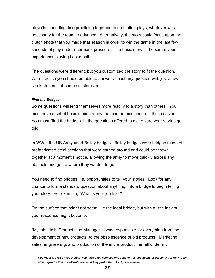playoffs, spending time practicing together, coordinating plays, whatever was necessary for the team to advance. Alternatively, the story could focus upon the clutch shots that you made that season in order to win the game in the last few seconds of play under enormous pressure. The basic story is the same: your experiences playing basketball.

The questions were different, but you customized the story to fit the question. With practice you should be able to answer almost any question with just a few stock stories that can be customized.

#### *Find the Bridges*

Some questions will lend themselves more readily to a story than others. You must have a set of basic stories ready that can be modified to fit the occasion. You must "find the bridges" in the questions offered to make sure your stories get told.

In WWII, the US Army used Bailey bridges. Bailey bridges were bridges made of prefabricated steel sections that were carried around and could be thrown together at a moment's notice, allowing the army to move quickly across any obstacle and get to where they wanted to go.

You need to find bridges, i.e. opportunities to tell your stories. Look for any chance to turn a standard question about anything, into a bridge to begin telling your story. For example, "What is your job title?"

On the surface that might not seem like the ideal bridge, but with a little insight your response might become:

"My job title is Product Line Manager. I was responsible for everything from the development of new products, to the obsolescence of old products. Marketing, sales, engineering, and production of the entire product line fell under my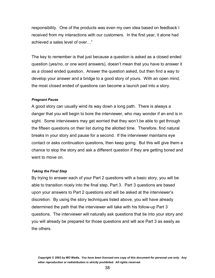responsibility. One of the products was even my own idea based on feedback I received from my interactions with our customers. In the first year, it alone had achieved a sales level of over…"

The key to remember is that just because a question is asked as a closed ended question (yes/no, or one word answers), doesn't mean that you have to answer it as a closed ended question. Answer the question asked, but then find a way to develop your answer and a bridge to a good story of yours. With an open mind, the most closed ended of questions can become a launch pad into a story.

#### *Pregnant Pause*

A good story can usually wind its way down a long path. There is always a danger that you will begin to bore the interviewer, who may wonder if an end is in sight. Some interviewers may get worried that they won't be able to get through the fifteen questions on their list during the allotted time. Therefore, find natural breaks in your story and pause for a second. If the interviewer maintains eye contact or asks continuation questions, then keep going. But this will give them a chance to stop the story and ask a different question if they are getting bored and want to move on.

#### *Taking the Final Step*

By trying to answer each of your Part 2 questions with a basic story, you will be able to transition nicely into the final step, Part 3. Part 3 questions are based upon your answers to Part 2 questions and will be asked at the interviewer's discretion. By using the story techniques listed above, you will have already determined the path that the interviewer will take with his follow-up Part 3 questions. The interviewer will naturally ask questions that tie into your story and you will already be prepared for those questions and will ace Part 3 as easily as the others.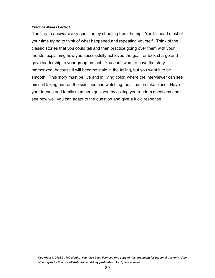#### *Practice Makes Perfect*

Don't try to answer every question by shooting from the hip. You'll spend most of your time trying to think of what happened and repeating yourself. Think of the classic stories that you could tell and then practice going over them with your friends, explaining how you successfully achieved the goal, or took charge and gave leadership to your group project. You don't want to have the story memorized, because it will become stale in the telling, but you want it to be smooth. This story must be live and in living color, where the interviewer can see himself taking part on the sidelines and watching the situation take place. Have your friends and family members quiz you by asking you random questions and see how well you can adapt to the question and give a lucid response.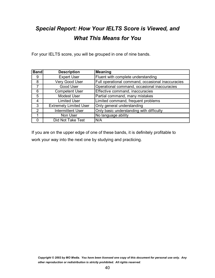# *Special Report: How Your IELTS Score is Viewed, and What This Means for You*

For your IELTS score, you will be grouped in one of nine bands.

| <b>Band</b> | <b>Description</b>            | Meaning                                           |  |
|-------------|-------------------------------|---------------------------------------------------|--|
| 9           | <b>Expert User</b>            | Fluent with complete understanding                |  |
| 8           | Very Good User                | Full operational command, occasional inaccuracies |  |
| 7           | Good User                     | Operational command, occasional inaccuracies      |  |
| 6           | <b>Competent User</b>         | Effective command, inaccuracies                   |  |
| 5           | <b>Modest User</b>            | Partial command, many mistakes                    |  |
| 4           | <b>Limited User</b>           | Limited command, frequent problems                |  |
| 3           | <b>Extremely Limited User</b> | Only general understanding                        |  |
| 2           | <b>Intermittent User</b>      | Only basic understanding with difficulty          |  |
|             | Non User                      | No language ability                               |  |
| n           | Did Not Take Test             | N/A                                               |  |

If you are on the upper edge of one of these bands, it is definitely profitable to work your way into the next one by studying and practicing.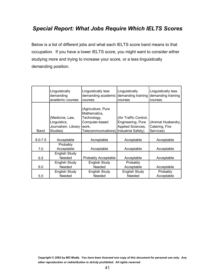## *Special Report: What Jobs Require Which IELTS Scores*

Below is a list of different jobs and what each IELTS score band means to that occupation. If you have a lower IELTS score, you might want to consider either studying more and trying to increase your score, or a less linguistically demanding position.

|             | Linguistically<br>demanding<br>academic courses | Linguistically less<br>demanding academic<br>courses                | Linguistically<br>demanding training<br>courses | Linguistically less<br>demanding training<br>courses |
|-------------|-------------------------------------------------|---------------------------------------------------------------------|-------------------------------------------------|------------------------------------------------------|
|             | (Medicine, Law,<br>Linguistics,                 | (Agriculture, Pure<br>Mathematics,<br>Technology,<br>Computer-based | (Air Traffic Control,<br>Engineering, Pure      | (Animal Husbandry,                                   |
|             | Journalism, Library                             | work,                                                               | Applied Sciences,                               | Catering, Fire                                       |
| Band        | Studies)                                        | Telecommunications)                                                 | Industrial Safety)                              | Services)                                            |
| $9.0 - 7.5$ | Acceptable                                      | Acceptable                                                          | Acceptable                                      | Acceptable                                           |
|             | Probably                                        |                                                                     |                                                 |                                                      |
| 7.0         | Acceptable                                      | Acceptable                                                          | Acceptable                                      | Acceptable                                           |
| 6.5         | <b>English Study</b><br>Needed                  | Probably Acceptable                                                 | Acceptable                                      | Acceptable                                           |
|             | <b>English Study</b>                            | <b>English Study</b>                                                | Probably                                        |                                                      |
| 6.0         | Needed                                          | Needed                                                              | Acceptable                                      | Acceptable                                           |
|             | <b>English Study</b>                            | <b>English Study</b>                                                | <b>English Study</b>                            | Probably                                             |
| 5.5         | Needed                                          | Needed                                                              | Needed                                          | Acceptable                                           |

*Copyright © 2002 by MO Media. You have been licensed one copy of this document for personal use only. Any other reproduction or redistribution is strictly prohibited. All rights reserved*.